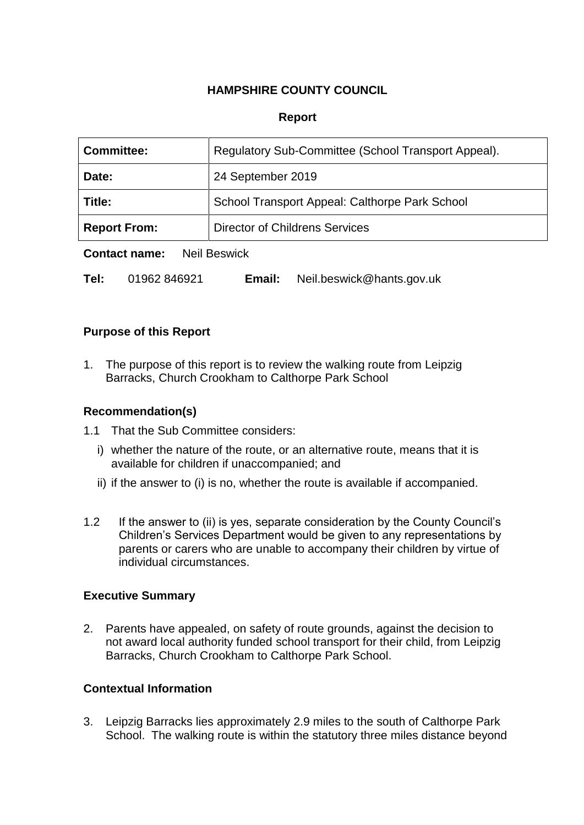# **HAMPSHIRE COUNTY COUNCIL**

### **Report**

| <b>Committee:</b>   | Regulatory Sub-Committee (School Transport Appeal). |  |
|---------------------|-----------------------------------------------------|--|
| Date:               | 24 September 2019                                   |  |
| Title:              | School Transport Appeal: Calthorpe Park School      |  |
| <b>Report From:</b> | <b>Director of Childrens Services</b>               |  |
| $\blacksquare$      |                                                     |  |

**Contact name:** Neil Beswick

**Tel:** 01962 846921 **Email:** Neil.beswick@hants.gov.uk

#### **Purpose of this Report**

1. The purpose of this report is to review the walking route from Leipzig Barracks, Church Crookham to Calthorpe Park School

### **Recommendation(s)**

- 1.1 That the Sub Committee considers:
	- i) whether the nature of the route, or an alternative route, means that it is available for children if unaccompanied; and
	- ii) if the answer to (i) is no, whether the route is available if accompanied.
- 1.2 If the answer to (ii) is yes, separate consideration by the County Council's Children's Services Department would be given to any representations by parents or carers who are unable to accompany their children by virtue of individual circumstances.

### **Executive Summary**

2. Parents have appealed, on safety of route grounds, against the decision to not award local authority funded school transport for their child, from Leipzig Barracks, Church Crookham to Calthorpe Park School.

#### **Contextual Information**

3. Leipzig Barracks lies approximately 2.9 miles to the south of Calthorpe Park School. The walking route is within the statutory three miles distance beyond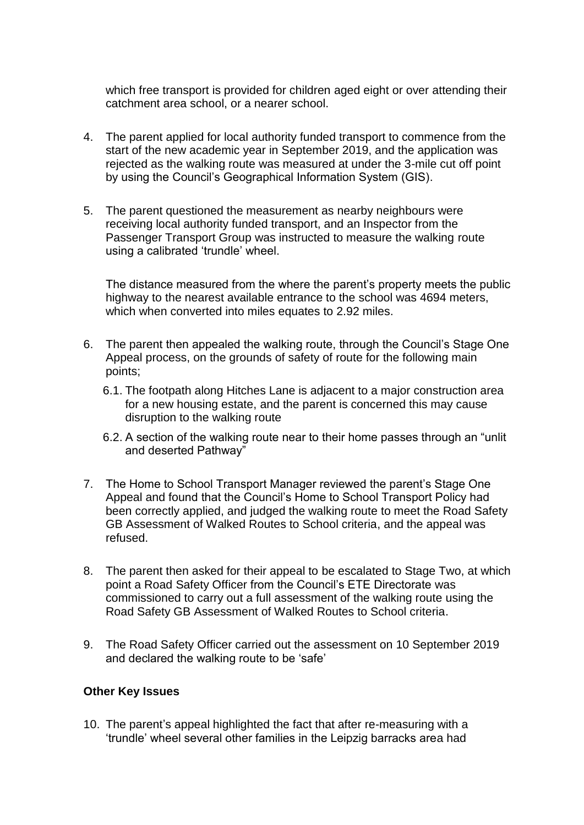which free transport is provided for children aged eight or over attending their catchment area school, or a nearer school.

- 4. The parent applied for local authority funded transport to commence from the start of the new academic year in September 2019, and the application was rejected as the walking route was measured at under the 3-mile cut off point by using the Council's Geographical Information System (GIS).
- 5. The parent questioned the measurement as nearby neighbours were receiving local authority funded transport, and an Inspector from the Passenger Transport Group was instructed to measure the walking route using a calibrated 'trundle' wheel.

The distance measured from the where the parent's property meets the public highway to the nearest available entrance to the school was 4694 meters, which when converted into miles equates to 2.92 miles.

- 6. The parent then appealed the walking route, through the Council's Stage One Appeal process, on the grounds of safety of route for the following main points;
	- 6.1. The footpath along Hitches Lane is adjacent to a major construction area for a new housing estate, and the parent is concerned this may cause disruption to the walking route
	- 6.2. A section of the walking route near to their home passes through an "unlit and deserted Pathway"
- 7. The Home to School Transport Manager reviewed the parent's Stage One Appeal and found that the Council's Home to School Transport Policy had been correctly applied, and judged the walking route to meet the Road Safety GB Assessment of Walked Routes to School criteria, and the appeal was refused.
- 8. The parent then asked for their appeal to be escalated to Stage Two, at which point a Road Safety Officer from the Council's ETE Directorate was commissioned to carry out a full assessment of the walking route using the Road Safety GB Assessment of Walked Routes to School criteria.
- 9. The Road Safety Officer carried out the assessment on 10 September 2019 and declared the walking route to be 'safe'

### **Other Key Issues**

10. The parent's appeal highlighted the fact that after re-measuring with a 'trundle' wheel several other families in the Leipzig barracks area had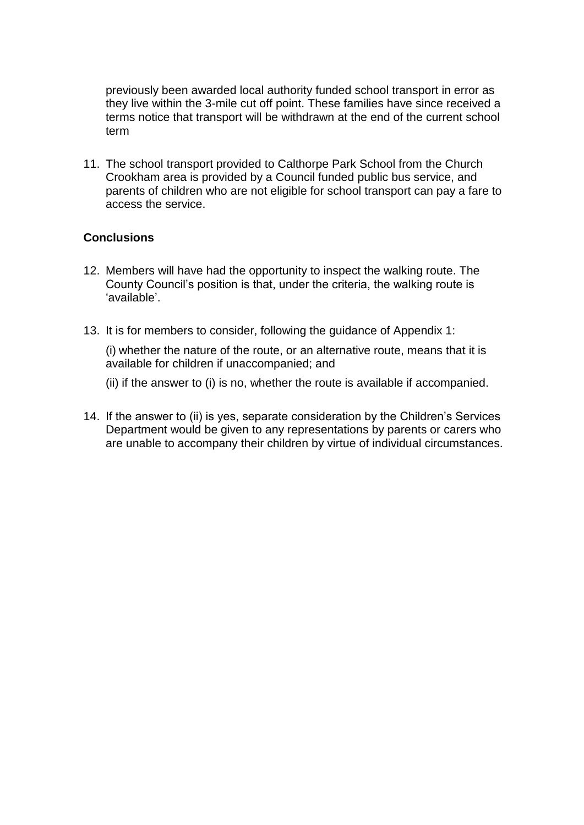previously been awarded local authority funded school transport in error as they live within the 3-mile cut off point. These families have since received a terms notice that transport will be withdrawn at the end of the current school term

11. The school transport provided to Calthorpe Park School from the Church Crookham area is provided by a Council funded public bus service, and parents of children who are not eligible for school transport can pay a fare to access the service.

## **Conclusions**

- 12. Members will have had the opportunity to inspect the walking route. The County Council's position is that, under the criteria, the walking route is 'available'.
- 13. It is for members to consider, following the guidance of Appendix 1:

(i) whether the nature of the route, or an alternative route, means that it is available for children if unaccompanied; and

(ii) if the answer to (i) is no, whether the route is available if accompanied.

14. If the answer to (ii) is yes, separate consideration by the Children's Services Department would be given to any representations by parents or carers who are unable to accompany their children by virtue of individual circumstances.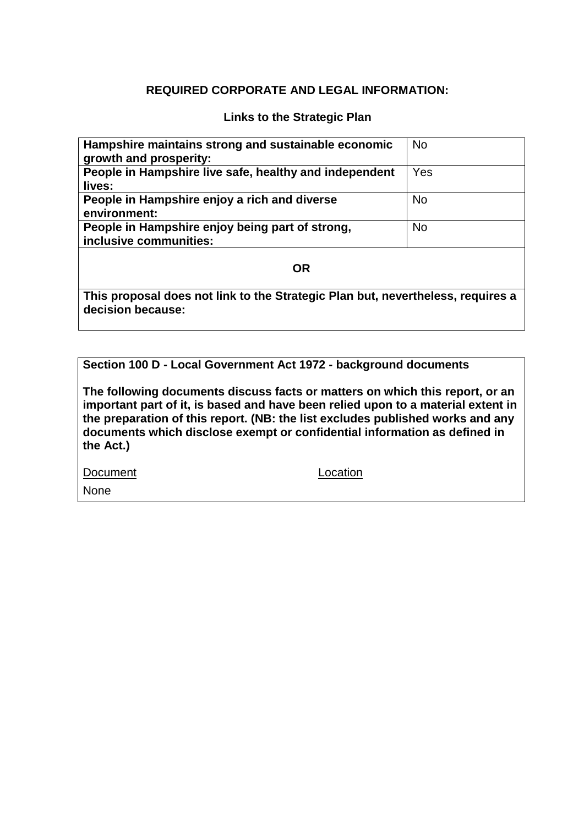## **REQUIRED CORPORATE AND LEGAL INFORMATION:**

### **Links to the Strategic Plan**

| Hampshire maintains strong and sustainable economic<br>growth and prosperity: | <b>No</b> |  |
|-------------------------------------------------------------------------------|-----------|--|
| People in Hampshire live safe, healthy and independent<br>lives:              | Yes       |  |
| People in Hampshire enjoy a rich and diverse<br>environment:                  | <b>No</b> |  |
| People in Hampshire enjoy being part of strong,<br>inclusive communities:     | <b>No</b> |  |
| OR                                                                            |           |  |

**This proposal does not link to the Strategic Plan but, nevertheless, requires a decision because:**

**Section 100 D - Local Government Act 1972 - background documents**

**The following documents discuss facts or matters on which this report, or an important part of it, is based and have been relied upon to a material extent in the preparation of this report. (NB: the list excludes published works and any documents which disclose exempt or confidential information as defined in the Act.)**

Document Location

None